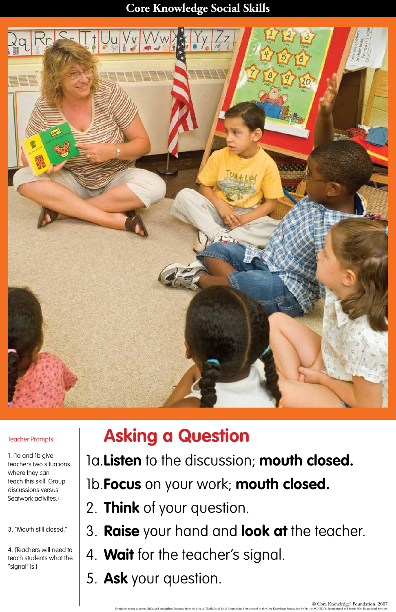## **Core Knowledge Social Skills**



© Core Knowledge® Foundation, 2007

Permission to use concepts, skills, and copyrighted language from the Stop & Think Social Skills Program has been granted to the Core Knowledge Foundation by Project ACHIEVE, Incorporated and Sopris West Educational Servic

## **Asking a Question**

## 1a.**Listen** to the discussion; **mouth closed.**

1b.**Focus** on your work; **mouth closed.**

- 2. **Think** of your question.
- 3. **Raise** your hand and **look at** the teacher.
- 4. **Wait** for the teacher's signal.
- 5. **Ask** your question.

Teacher Prompts

1. (1a and 1b give teachers two situations where they can teach this skill: Group discussions versus Seatwork activites.)

3. "Mouth still closed."

4. (Teachers will need to teach students what the "signal" is.)